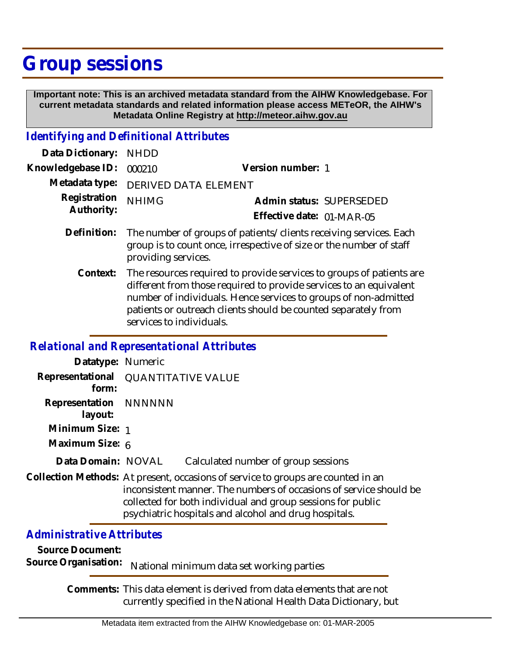## **Group sessions**

 **Important note: This is an archived metadata standard from the AIHW Knowledgebase. For current metadata standards and related information please access METeOR, the AIHW's Metadata Online Registry at http://meteor.aihw.gov.au**

## *Identifying and Definitional Attributes*

| Data Dictionary: NHDD            |                                     |                           |                          |
|----------------------------------|-------------------------------------|---------------------------|--------------------------|
| Knowledgebase ID: 000210         |                                     | Version number: 1         |                          |
|                                  | Metadata type: DERIVED DATA ELEMENT |                           |                          |
| Registration NHIMG<br>Authority: |                                     |                           | Admin status: SUPERSEDED |
|                                  |                                     | Effective date: 01-MAR-05 |                          |
|                                  |                                     |                           |                          |

- The number of groups of patients/clients receiving services. Each group is to count once, irrespective of size or the number of staff providing services. **Definition:**
	- The resources required to provide services to groups of patients are different from those required to provide services to an equivalent number of individuals. Hence services to groups of non-admitted patients or outreach clients should be counted separately from services to individuals. **Context:**

## *Relational and Representational Attributes*

| Datatype: Numeric                |                                                                                                                                                                                                                                                                                |                                     |  |
|----------------------------------|--------------------------------------------------------------------------------------------------------------------------------------------------------------------------------------------------------------------------------------------------------------------------------|-------------------------------------|--|
| Representational<br>form:        | <b>QUANTITATIVE VALUE</b>                                                                                                                                                                                                                                                      |                                     |  |
| Representation NNNNNN<br>layout: |                                                                                                                                                                                                                                                                                |                                     |  |
| Minimum Size: 1                  |                                                                                                                                                                                                                                                                                |                                     |  |
| Maximum Size: 6                  |                                                                                                                                                                                                                                                                                |                                     |  |
| Data Domain: NOVAL               |                                                                                                                                                                                                                                                                                | Calculated number of group sessions |  |
|                                  | Collection Methods: At present, occasions of service to groups are counted in an<br>inconsistent manner. The numbers of occasions of service should be<br>collected for both individual and group sessions for public<br>psychiatric hospitals and alcohol and drug hospitals. |                                     |  |

## *Administrative Attributes*

**Source Document:** Source Organisation: National minimum data set working parties

> Comments: This data element is derived from data elements that are not currently specified in the National Health Data Dictionary, but